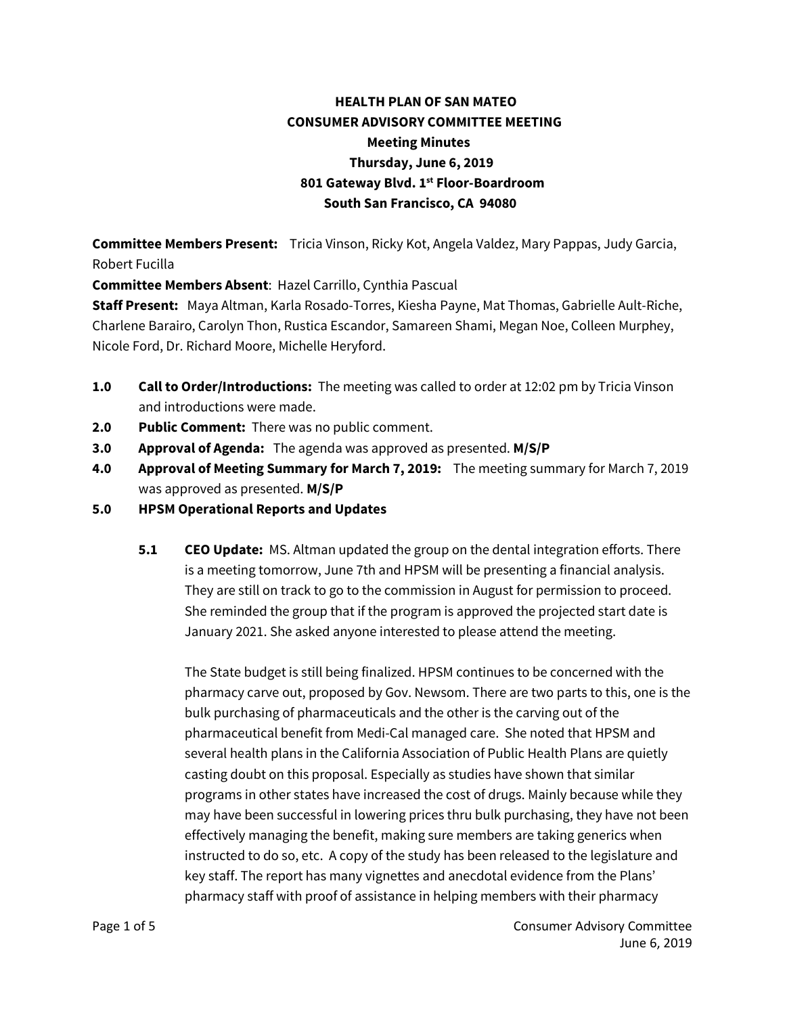## **HEALTH PLAN OF SAN MATEO CONSUMER ADVISORY COMMITTEE MEETING Meeting Minutes Thursday, June 6, 2019 801 Gateway Blvd. 1st Floor-Boardroom South San Francisco, CA 94080**

**Committee Members Present:** Tricia Vinson, Ricky Kot, Angela Valdez, Mary Pappas, Judy Garcia, Robert Fucilla

**Committee Members Absent**: Hazel Carrillo, Cynthia Pascual

**Staff Present:** Maya Altman, Karla Rosado-Torres, Kiesha Payne, Mat Thomas, Gabrielle Ault-Riche, Charlene Barairo, Carolyn Thon, Rustica Escandor, Samareen Shami, Megan Noe, Colleen Murphey, Nicole Ford, Dr. Richard Moore, Michelle Heryford.

- **1.0 Call to Order/Introductions:** The meeting was called to order at 12:02 pm by Tricia Vinson and introductions were made.
- **2.0 Public Comment:** There was no public comment.
- **3.0 Approval of Agenda:** The agenda was approved as presented. **M/S/P**
- **4.0 Approval of Meeting Summary for March 7, 2019:** The meeting summary for March 7, 2019 was approved as presented. **M/S/P**
- **5.0 HPSM Operational Reports and Updates**
	- **5.1 CEO Update:** MS. Altman updated the group on the dental integration efforts. There is a meeting tomorrow, June 7th and HPSM will be presenting a financial analysis. They are still on track to go to the commission in August for permission to proceed. She reminded the group that if the program is approved the projected start date is January 2021. She asked anyone interested to please attend the meeting.

The State budget is still being finalized. HPSM continues to be concerned with the pharmacy carve out, proposed by Gov. Newsom. There are two parts to this, one is the bulk purchasing of pharmaceuticals and the other is the carving out of the pharmaceutical benefit from Medi-Cal managed care. She noted that HPSM and several health plans in the California Association of Public Health Plans are quietly casting doubt on this proposal. Especially as studies have shown that similar programs in other states have increased the cost of drugs. Mainly because while they may have been successful in lowering prices thru bulk purchasing, they have not been effectively managing the benefit, making sure members are taking generics when instructed to do so, etc. A copy of the study has been released to the legislature and key staff. The report has many vignettes and anecdotal evidence from the Plans' pharmacy staff with proof of assistance in helping members with their pharmacy

Page 1 of 5 Consumer Advisory Committee June 6, 2019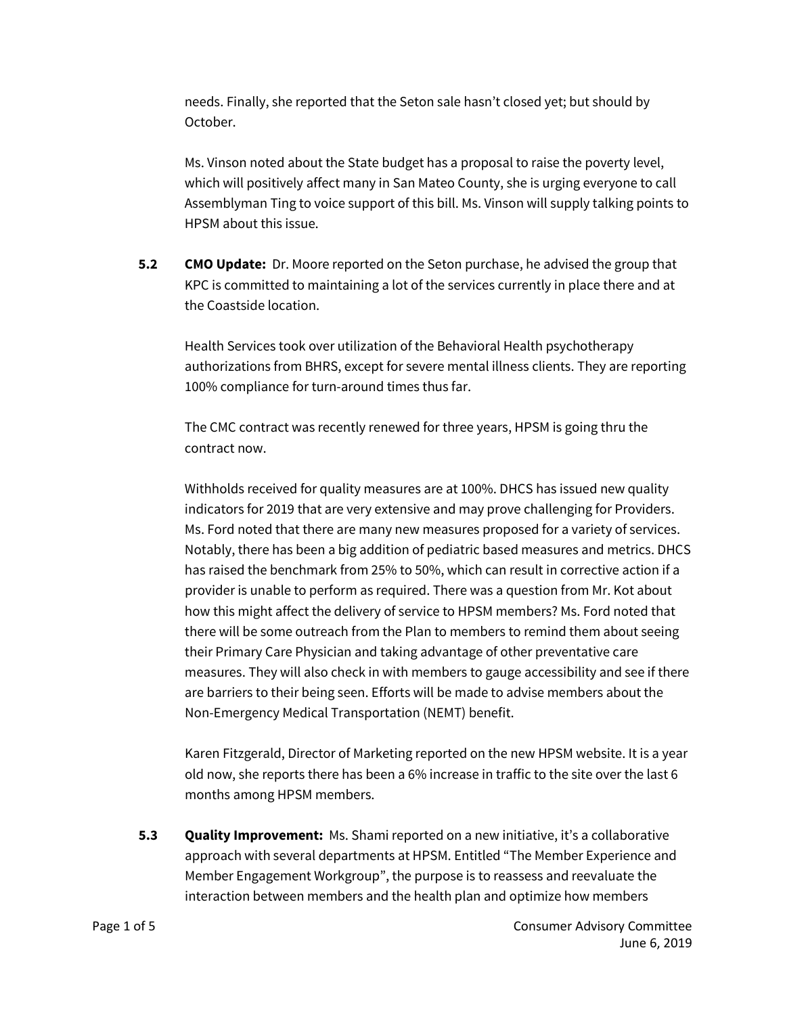needs. Finally, she reported that the Seton sale hasn't closed yet; but should by October.

Ms. Vinson noted about the State budget has a proposal to raise the poverty level, which will positively affect many in San Mateo County, she is urging everyone to call Assemblyman Ting to voice support of this bill. Ms. Vinson will supply talking points to HPSM about this issue.

**5.2 CMO Update:** Dr. Moore reported on the Seton purchase, he advised the group that KPC is committed to maintaining a lot of the services currently in place there and at the Coastside location.

Health Services took over utilization of the Behavioral Health psychotherapy authorizations from BHRS, except for severe mental illness clients. They are reporting 100% compliance for turn-around times thus far.

The CMC contract was recently renewed for three years, HPSM is going thru the contract now.

Withholds received for quality measures are at 100%. DHCS has issued new quality indicators for 2019 that are very extensive and may prove challenging for Providers. Ms. Ford noted that there are many new measures proposed for a variety of services. Notably, there has been a big addition of pediatric based measures and metrics. DHCS has raised the benchmark from 25% to 50%, which can result in corrective action if a provider is unable to perform as required. There was a question from Mr. Kot about how this might affect the delivery of service to HPSM members? Ms. Ford noted that there will be some outreach from the Plan to members to remind them about seeing their Primary Care Physician and taking advantage of other preventative care measures. They will also check in with members to gauge accessibility and see if there are barriers to their being seen. Efforts will be made to advise members about the Non-Emergency Medical Transportation (NEMT) benefit.

Karen Fitzgerald, Director of Marketing reported on the new HPSM website. It is a year old now, she reports there has been a 6% increase in traffic to the site over the last 6 months among HPSM members.

**5.3 Quality Improvement:** Ms. Shami reported on a new initiative, it's a collaborative approach with several departments at HPSM. Entitled "The Member Experience and Member Engagement Workgroup", the purpose is to reassess and reevaluate the interaction between members and the health plan and optimize how members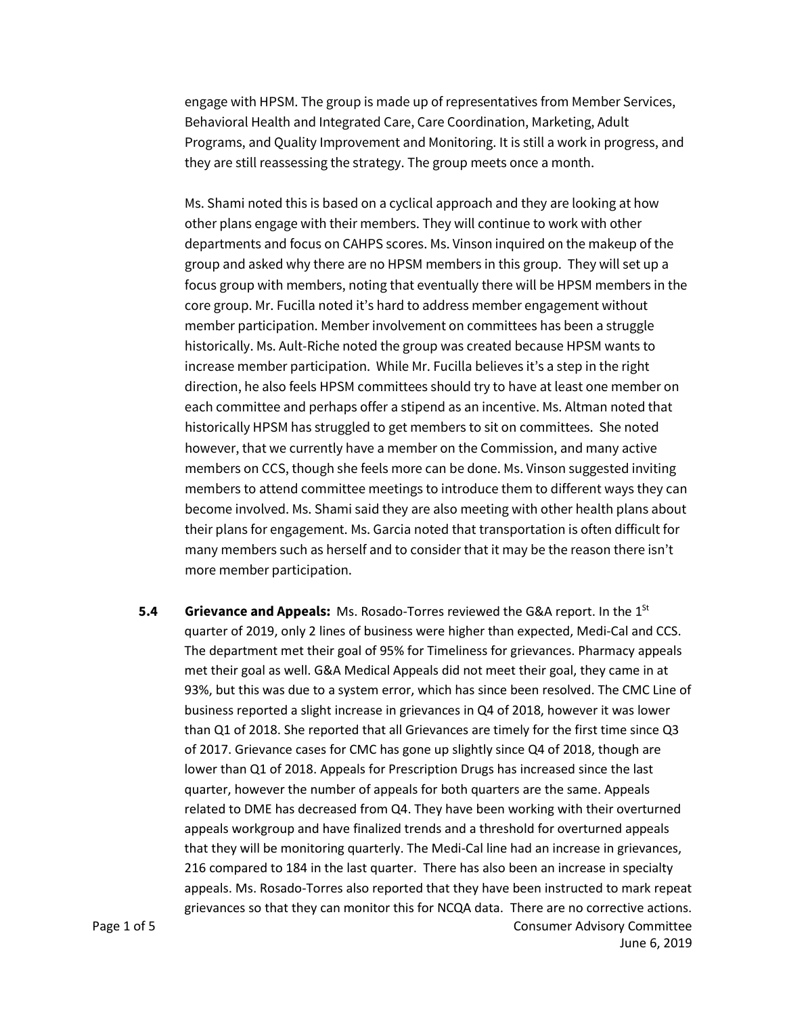engage with HPSM. The group is made up of representatives from Member Services, Behavioral Health and Integrated Care, Care Coordination, Marketing, Adult Programs, and Quality Improvement and Monitoring. It is still a work in progress, and they are still reassessing the strategy. The group meets once a month.

Ms. Shami noted this is based on a cyclical approach and they are looking at how other plans engage with their members. They will continue to work with other departments and focus on CAHPS scores. Ms. Vinson inquired on the makeup of the group and asked why there are no HPSM members in this group. They will set up a focus group with members, noting that eventually there will be HPSM members in the core group. Mr. Fucilla noted it's hard to address member engagement without member participation. Member involvement on committees has been a struggle historically. Ms. Ault-Riche noted the group was created because HPSM wants to increase member participation. While Mr. Fucilla believes it's a step in the right direction, he also feels HPSM committees should try to have at least one member on each committee and perhaps offer a stipend as an incentive. Ms. Altman noted that historically HPSM has struggled to get members to sit on committees. She noted however, that we currently have a member on the Commission, and many active members on CCS, though she feels more can be done. Ms. Vinson suggested inviting members to attend committee meetings to introduce them to different ways they can become involved. Ms. Shami said they are also meeting with other health plans about their plans for engagement. Ms. Garcia noted that transportation is often difficult for many members such as herself and to consider that it may be the reason there isn't more member participation.

Page 1 of 5 Consumer Advisory Committee **5.4 •• Grievance and Appeals:** Ms. Rosado-Torres reviewed the G&A report. In the 1<sup>St</sup> quarter of 2019, only 2 lines of business were higher than expected, Medi-Cal and CCS. The department met their goal of 95% for Timeliness for grievances. Pharmacy appeals met their goal as well. G&A Medical Appeals did not meet their goal, they came in at 93%, but this was due to a system error, which has since been resolved. The CMC Line of business reported a slight increase in grievances in Q4 of 2018, however it was lower than Q1 of 2018. She reported that all Grievances are timely for the first time since Q3 of 2017. Grievance cases for CMC has gone up slightly since Q4 of 2018, though are lower than Q1 of 2018. Appeals for Prescription Drugs has increased since the last quarter, however the number of appeals for both quarters are the same. Appeals related to DME has decreased from Q4. They have been working with their overturned appeals workgroup and have finalized trends and a threshold for overturned appeals that they will be monitoring quarterly. The Medi-Cal line had an increase in grievances, 216 compared to 184 in the last quarter. There has also been an increase in specialty appeals. Ms. Rosado-Torres also reported that they have been instructed to mark repeat grievances so that they can monitor this for NCQA data. There are no corrective actions.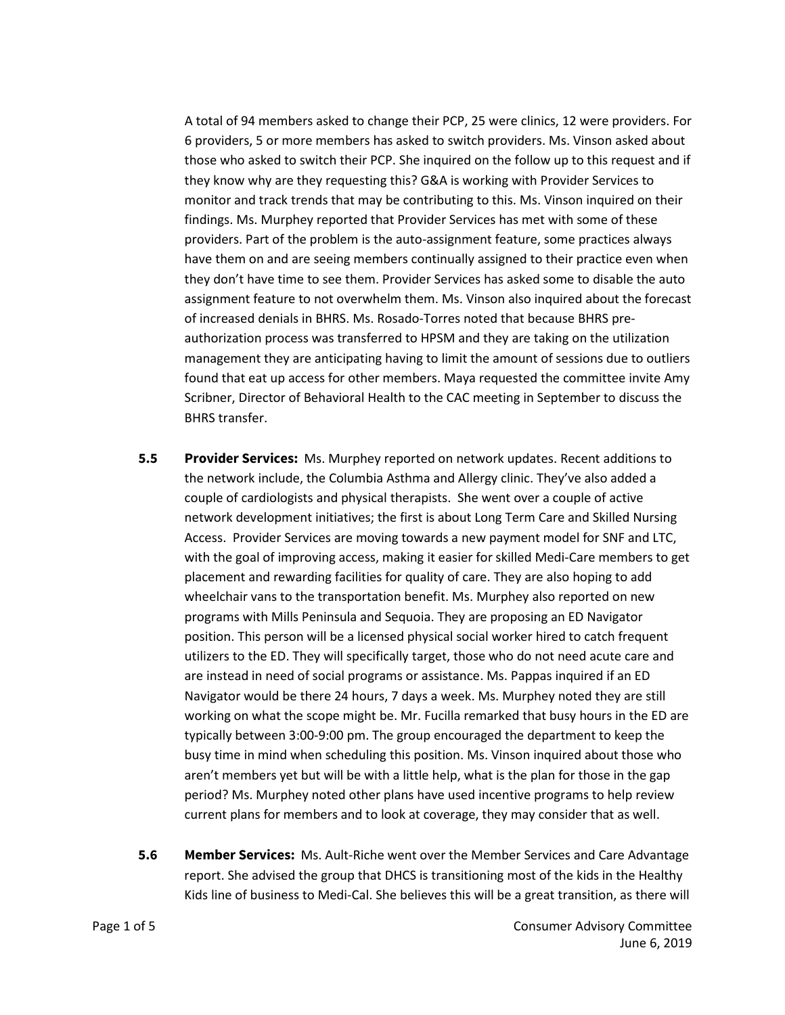A total of 94 members asked to change their PCP, 25 were clinics, 12 were providers. For 6 providers, 5 or more members has asked to switch providers. Ms. Vinson asked about those who asked to switch their PCP. She inquired on the follow up to this request and if they know why are they requesting this? G&A is working with Provider Services to monitor and track trends that may be contributing to this. Ms. Vinson inquired on their findings. Ms. Murphey reported that Provider Services has met with some of these providers. Part of the problem is the auto-assignment feature, some practices always have them on and are seeing members continually assigned to their practice even when they don't have time to see them. Provider Services has asked some to disable the auto assignment feature to not overwhelm them. Ms. Vinson also inquired about the forecast of increased denials in BHRS. Ms. Rosado-Torres noted that because BHRS preauthorization process was transferred to HPSM and they are taking on the utilization management they are anticipating having to limit the amount of sessions due to outliers found that eat up access for other members. Maya requested the committee invite Amy Scribner, Director of Behavioral Health to the CAC meeting in September to discuss the BHRS transfer.

- **5.5 Provider Services:** Ms. Murphey reported on network updates. Recent additions to the network include, the Columbia Asthma and Allergy clinic. They've also added a couple of cardiologists and physical therapists. She went over a couple of active network development initiatives; the first is about Long Term Care and Skilled Nursing Access. Provider Services are moving towards a new payment model for SNF and LTC, with the goal of improving access, making it easier for skilled Medi-Care members to get placement and rewarding facilities for quality of care. They are also hoping to add wheelchair vans to the transportation benefit. Ms. Murphey also reported on new programs with Mills Peninsula and Sequoia. They are proposing an ED Navigator position. This person will be a licensed physical social worker hired to catch frequent utilizers to the ED. They will specifically target, those who do not need acute care and are instead in need of social programs or assistance. Ms. Pappas inquired if an ED Navigator would be there 24 hours, 7 days a week. Ms. Murphey noted they are still working on what the scope might be. Mr. Fucilla remarked that busy hours in the ED are typically between 3:00-9:00 pm. The group encouraged the department to keep the busy time in mind when scheduling this position. Ms. Vinson inquired about those who aren't members yet but will be with a little help, what is the plan for those in the gap period? Ms. Murphey noted other plans have used incentive programs to help review current plans for members and to look at coverage, they may consider that as well.
- **5.6 Member Services:** Ms. Ault-Riche went over the Member Services and Care Advantage report. She advised the group that DHCS is transitioning most of the kids in the Healthy Kids line of business to Medi-Cal. She believes this will be a great transition, as there will